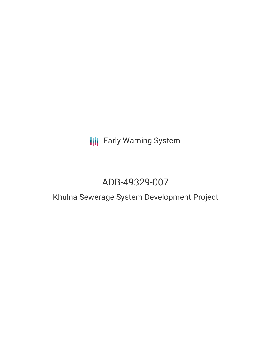# **III** Early Warning System

# ADB-49329-007

## Khulna Sewerage System Development Project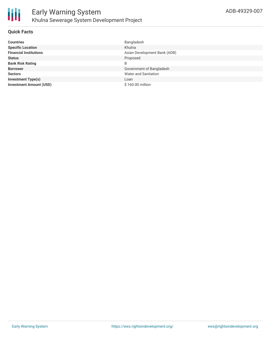

#### **Quick Facts**

| <b>Countries</b>               | Bangladesh                   |
|--------------------------------|------------------------------|
| <b>Specific Location</b>       | Khulna                       |
| <b>Financial Institutions</b>  | Asian Development Bank (ADB) |
| <b>Status</b>                  | Proposed                     |
| <b>Bank Risk Rating</b>        | B                            |
| <b>Borrower</b>                | Government of Bangladesh     |
| <b>Sectors</b>                 | Water and Sanitation         |
| <b>Investment Type(s)</b>      | Loan                         |
| <b>Investment Amount (USD)</b> | \$160.00 million             |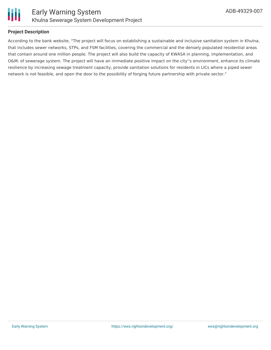

#### **Project Description**

According to the bank website, "The project will focus on establishing a sustainable and inclusive sanitation system in Khulna, that includes sewer networks, STPs, and FSM facilities, covering the commercial and the densely populated residential areas that contain around one million people. The project will also build the capacity of KWASA in planning, implementation, and O&M; of sewerage system. The project will have an immediate positive impact on the city''s environment, enhance its climate resilience by increasing sewage treatment capacity, provide sanitation solutions for residents in LICs where a piped sewer network is not feasible, and open the door to the possibility of forging future partnership with private sector."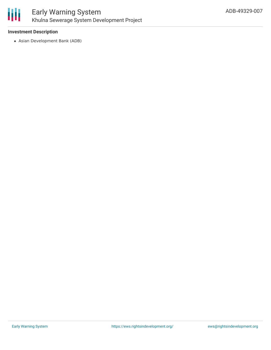

## Early Warning System Khulna Sewerage System Development Project

#### **Investment Description**

Asian Development Bank (ADB)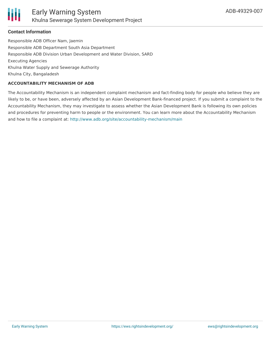

#### **Contact Information**

Responsible ADB Officer Nam, Jaemin Responsible ADB Department South Asia Department Responsible ADB Division Urban Development and Water Division, SARD Executing Agencies Khulna Water Supply and Sewerage Authority Khulna City, Bangaladesh

#### **ACCOUNTABILITY MECHANISM OF ADB**

The Accountability Mechanism is an independent complaint mechanism and fact-finding body for people who believe they are likely to be, or have been, adversely affected by an Asian Development Bank-financed project. If you submit a complaint to the Accountability Mechanism, they may investigate to assess whether the Asian Development Bank is following its own policies and procedures for preventing harm to people or the environment. You can learn more about the Accountability Mechanism and how to file a complaint at: <http://www.adb.org/site/accountability-mechanism/main>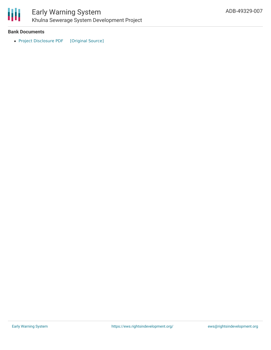

## Early Warning System Khulna Sewerage System Development Project

#### **Bank Documents**

• Project [Disclosure](https://ewsdata.rightsindevelopment.org/files/documents/07/ADB-49329-007.pdf) PDF [\[Original](https://www.adb.org/printpdf/projects/49329-007/main) Source]